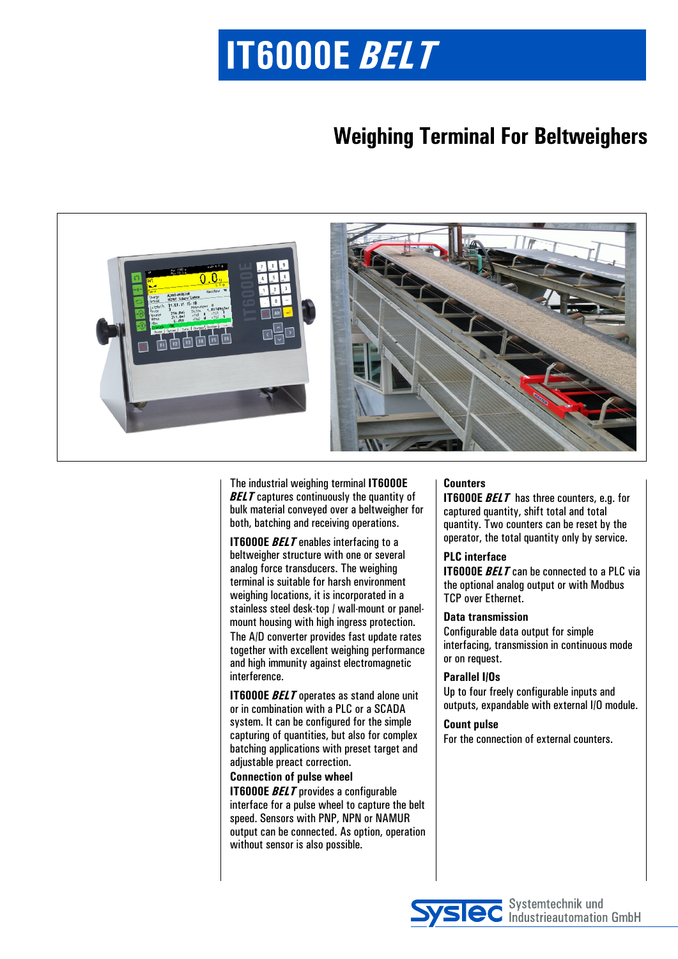# **IT6000E BELT**

### **Weighing Terminal For Beltweighers**



The industrial weighing terminal **IT6000E BELT** captures continuously the quantity of bulk material conveyed over a beltweigher for both, batching and receiving operations.

**IT6000E BELT** enables interfacing to a beltweigher structure with one or several analog force transducers. The weighing terminal is suitable for harsh environment weighing locations, it is incorporated in a stainless steel desk-top / wall-mount or panelmount housing with high ingress protection. The A/D converter provides fast update rates together with excellent weighing performance and high immunity against electromagnetic interference.

**IT6000E** *BELT* operates as stand alone unit or in combination with a PLC or a SCADA system. It can be configured for the simple capturing of quantities, but also for complex batching applications with preset target and adjustable preact correction.

#### **Connection of pulse wheel**

**IT6000E** *BELT* provides a configurable interface for a pulse wheel to capture the belt speed. Sensors with PNP, NPN or NAMUR output can be connected. As option, operation without sensor is also possible.

#### **Counters**

**IT6000E** *BELT* has three counters, e.g. for captured quantity, shift total and total quantity. Two counters can be reset by the operator, the total quantity only by service.

#### **PLC interface**

**IT6000E** *BELT* can be connected to a PLC via the optional analog output or with Modbus TCP over Ethernet.

#### **Data transmission**

Configurable data output for simple interfacing, transmission in continuous mode or on request.

#### **Parallel I/Os**

Up to four freely configurable inputs and outputs, expandable with external I/O module.

#### **Count pulse**

For the connection of external counters.